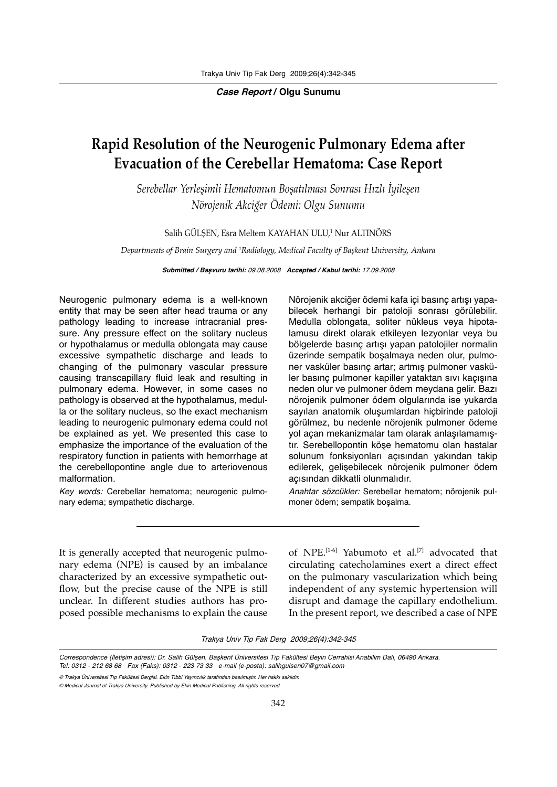**Case Report / Olgu Sunumu**

## **Rapid Resolution of the Neurogenic Pulmonary Edema after Evacuation of the Cerebellar Hematoma: Case Report**

*Serebellar Yerleşimli Hematomun Boşatılması Sonrası Hızlı İyileşen Nörojenik Akciğer Ödemi: Olgu Sunumu*

Salih GULŞEN, Esra Meltem KAYAHAN ULU,<sup>1</sup> Nur ALTINORS

*Departments of Brain Surgery and 1 Radiology, Medical Faculty of Başkent University, Ankara*

**Submitted / Başvuru tarihi:** 09.08.2008 **Accepted / Kabul tarihi:** 17.09.2008

Neurogenic pulmonary edema is a well-known entity that may be seen after head trauma or any pathology leading to increase intracranial pressure. Any pressure effect on the solitary nucleus or hypothalamus or medulla oblongata may cause excessive sympathetic discharge and leads to changing of the pulmonary vascular pressure causing transcapillary fluid leak and resulting in pulmonary edema. However, in some cases no pathology is observed at the hypothalamus, medulla or the solitary nucleus, so the exact mechanism leading to neurogenic pulmonary edema could not be explained as yet. We presented this case to emphasize the importance of the evaluation of the respiratory function in patients with hemorrhage at the cerebellopontine angle due to arteriovenous malformation.

Key words: Cerebellar hematoma; neurogenic pulmonary edema; sympathetic discharge.

Nörojenik akciğer ödemi kafa içi basınç artışı yapabilecek herhangi bir patoloji sonrası görülebilir. Medulla oblongata, soliter nükleus veya hipotalamusu direkt olarak etkileyen lezyonlar veya bu bölgelerde basınç artışı yapan patolojiler normalin üzerinde sempatik boşalmaya neden olur, pulmoner vasküler basınç artar; artmış pulmoner vasküler basınç pulmoner kapiller yataktan sıvı kaçışına neden olur ve pulmoner ödem meydana gelir. Bazı nörojenik pulmoner ödem olgularında ise yukarda sayılan anatomik oluşumlardan hiçbirinde patoloji görülmez, bu nedenle nörojenik pulmoner ödeme yol açan mekanizmalar tam olarak anlaşılamamıştır. Serebellopontin köşe hematomu olan hastalar solunum fonksiyonları açısından yakından takip edilerek, gelişebilecek nörojenik pulmoner ödem açısından dikkatli olunmalıdır.

Anahtar sözcükler: Serebellar hematom; nörojenik pulmoner ödem; sempatik boşalma.

It is generally accepted that neurogenic pulmonary edema (NPE) is caused by an imbalance characterized by an excessive sympathetic outflow, but the precise cause of the NPE is still unclear. In different studies authors has proposed possible mechanisms to explain the cause of NPE.<sup>[1-6]</sup> Yabumoto et al.<sup>[7]</sup> advocated that circulating catecholamines exert a direct effect on the pulmonary vascularization which being independent of any systemic hypertension will disrupt and damage the capillary endothelium. In the present report, we described a case of NPE

Trakya Univ Tip Fak Derg 2009;26(4):342-345

Correspondence (İletişim adresi): Dr. Salih Gülşen. Başkent Üniversitesi Tıp Fakültesi Beyin Cerrahisi Anabilim Dalı, 06490 Ankara. Tel: 0312 - 212 68 68 Fax (Faks): 0312 - 223 73 33 e-mail (e-posta): salihgulsen07@gmail.com

<sup>©</sup> Trakya Üniversitesi Tıp Fakültesi Dergisi. Ekin Tıbbi Yayıncılık tarafından basılmıştır. Her hakkı saklıdır.

<sup>©</sup> Medical Journal of Trakya University. Published by Ekin Medical Publishing. All rights reserved.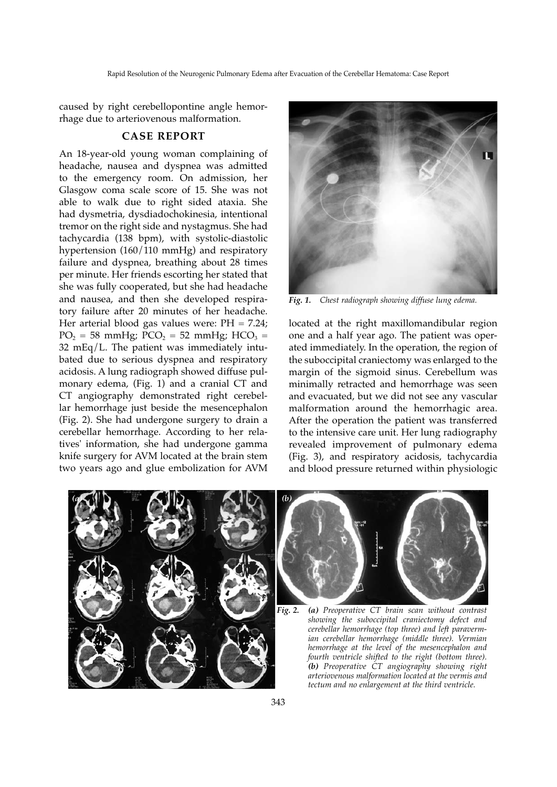Rapid Resolution of the Neurogenic Pulmonary Edema after Evacuation of the Cerebellar Hematoma: Case Report

caused by right cerebellopontine angle hemorrhage due to arteriovenous malformation.

## **CASE REPORT**

An 18-year-old young woman complaining of headache, nausea and dyspnea was admitted to the emergency room. On admission, her Glasgow coma scale score of 15. She was not able to walk due to right sided ataxia. She had dysmetria, dysdiadochokinesia, intentional tremor on the right side and nystagmus. She had tachycardia (138 bpm), with systolic-diastolic hypertension (160/110 mmHg) and respiratory failure and dyspnea, breathing about 28 times per minute. Her friends escorting her stated that she was fully cooperated, but she had headache and nausea, and then she developed respiratory failure after 20 minutes of her headache. Her arterial blood gas values were:  $PH = 7.24$ ;  $PO_2 = 58$  mmHg;  $PCO_2 = 52$  mmHg;  $HCO_3 =$ 32 mEq/L. The patient was immediately intubated due to serious dyspnea and respiratory acidosis. A lung radiograph showed diffuse pulmonary edema, (Fig. 1) and a cranial CT and CT angiography demonstrated right cerebellar hemorrhage just beside the mesencephalon (Fig. 2). She had undergone surgery to drain a cerebellar hemorrhage. According to her relatives' information, she had undergone gamma knife surgery for AVM located at the brain stem two years ago and glue embolization for AVM



*Fig. 1. Chest radiograph showing diffuse lung edema.*

located at the right maxillomandibular region one and a half year ago. The patient was operated immediately. In the operation, the region of the suboccipital craniectomy was enlarged to the margin of the sigmoid sinus. Cerebellum was minimally retracted and hemorrhage was seen and evacuated, but we did not see any vascular malformation around the hemorrhagic area. After the operation the patient was transferred to the intensive care unit. Her lung radiography revealed improvement of pulmonary edema (Fig. 3), and respiratory acidosis, tachycardia and blood pressure returned within physiologic

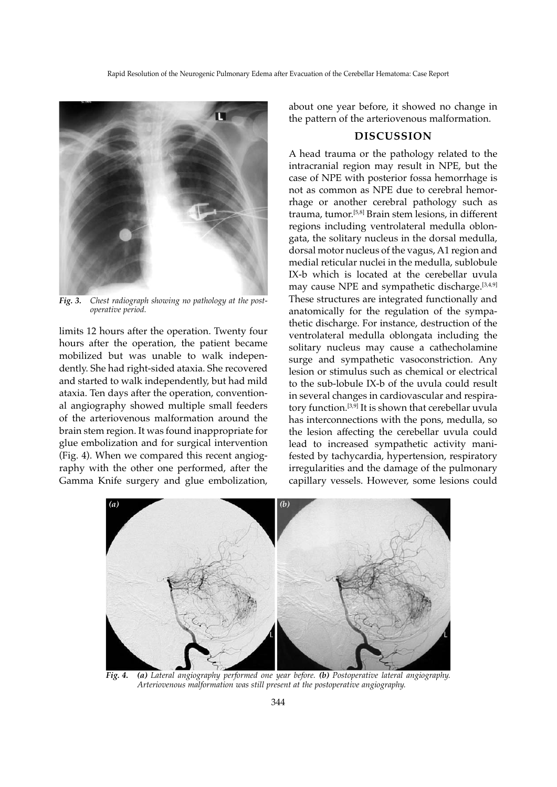

*Fig. 3. Chest radiograph showing no pathology at the postoperative period.*

limits 12 hours after the operation. Twenty four hours after the operation, the patient became mobilized but was unable to walk independently. She had right-sided ataxia. She recovered and started to walk independently, but had mild ataxia. Ten days after the operation, conventional angiography showed multiple small feeders of the arteriovenous malformation around the brain stem region. It was found inappropriate for glue embolization and for surgical intervention (Fig. 4). When we compared this recent angiography with the other one performed, after the Gamma Knife surgery and glue embolization,

about one year before, it showed no change in the pattern of the arteriovenous malformation.

## **DISCUSSION**

A head trauma or the pathology related to the intracranial region may result in NPE, but the case of NPE with posterior fossa hemorrhage is not as common as NPE due to cerebral hemorrhage or another cerebral pathology such as trauma, tumor.[5,8] Brain stem lesions, in different regions including ventrolateral medulla oblongata, the solitary nucleus in the dorsal medulla, dorsal motor nucleus of the vagus, A1 region and medial reticular nuclei in the medulla, sublobule IX-b which is located at the cerebellar uvula may cause NPE and sympathetic discharge.<sup>[3,4,9]</sup> These structures are integrated functionally and anatomically for the regulation of the sympathetic discharge. For instance, destruction of the ventrolateral medulla oblongata including the solitary nucleus may cause a cathecholamine surge and sympathetic vasoconstriction. Any lesion or stimulus such as chemical or electrical to the sub-lobule IX-b of the uvula could result in several changes in cardiovascular and respiratory function.[3,9] It is shown that cerebellar uvula has interconnections with the pons, medulla, so the lesion affecting the cerebellar uvula could lead to increased sympathetic activity manifested by tachycardia, hypertension, respiratory irregularities and the damage of the pulmonary capillary vessels. However, some lesions could



*Fig. 4. (a) Lateral angiography performed one year before. (b) Postoperative lateral angiography. Arteriovenous malformation was still present at the postoperative angiography.*